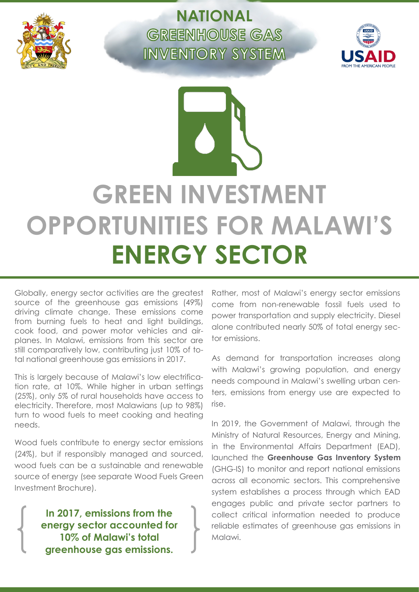

**NATIONAL GREENHOUSE GAS INVENTORY SYSTEM** 



# **GREEN INVESTMENT OPPORTUNITIES FOR MALAWI'S ENERGY SECTOR**

Globally, energy sector activities are the greatest source of the greenhouse gas emissions (49%) driving climate change. These emissions come from burning fuels to heat and light buildings, cook food, and power motor vehicles and airplanes. In Malawi, emissions from this sector are still comparatively low, contributing just 10% of total national greenhouse gas emissions in 2017.

This is largely because of Malawi's low electrification rate, at 10%. While higher in urban settings (25%), only 5% of rural households have access to electricity. Therefore, most Malawians (up to 98%) turn to wood fuels to meet cooking and heating needs.

Wood fuels contribute to energy sector emissions (24%), but if responsibly managed and sourced, wood fuels can be a sustainable and renewable source of energy (see separate Wood Fuels Green Investment Brochure).

> **In 2017, emissions from the energy sector accounted for 10% of Malawi's total greenhouse gas emissions.**

Rather, most of Malawi's energy sector emissions come from non-renewable fossil fuels used to power transportation and supply electricity. Diesel alone contributed nearly 50% of total energy sector emissions.

As demand for transportation increases along with Malawi's growing population, and energy needs compound in Malawi's swelling urban centers, emissions from energy use are expected to rise.

In 2019, the Government of Malawi, through the Ministry of Natural Resources, Energy and Mining, in the Environmental Affairs Department (EAD), launched the **Greenhouse Gas Inventory System** (GHG-IS) to monitor and report national emissions across all economic sectors. This comprehensive system establishes a process through which EAD engages public and private sector partners to collect critical information needed to produce reliable estimates of greenhouse gas emissions in Malawi.